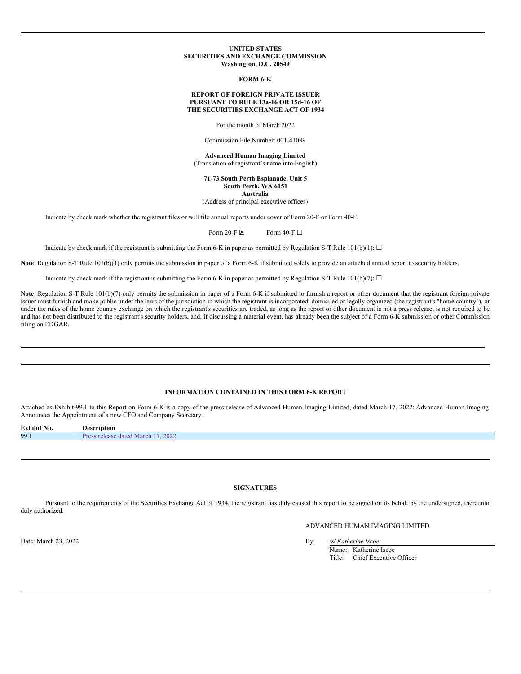#### **UNITED STATES SECURITIES AND EXCHANGE COMMISSION Washington, D.C. 20549**

#### **FORM 6-K**

#### **REPORT OF FOREIGN PRIVATE ISSUER PURSUANT TO RULE 13a-16 OR 15d-16 OF THE SECURITIES EXCHANGE ACT OF 1934**

For the month of March 2022

Commission File Number: 001-41089

**Advanced Human Imaging Limited** (Translation of registrant's name into English)

**71-73 South Perth Esplanade, Unit 5 South Perth, WA 6151 Australia**

(Address of principal executive offices)

Indicate by check mark whether the registrant files or will file annual reports under cover of Form 20-F or Form 40-F.

Form 20-F  $\boxtimes$  Form 40-F  $\Box$ 

Indicate by check mark if the registrant is submitting the Form 6-K in paper as permitted by Regulation S-T Rule 101(b)(1):  $\Box$ 

**Note**: Regulation S-T Rule 101(b)(1) only permits the submission in paper of a Form 6-K if submitted solely to provide an attached annual report to security holders.

Indicate by check mark if the registrant is submitting the Form 6-K in paper as permitted by Regulation S-T Rule 101(b)(7):  $\Box$ 

Note: Regulation S-T Rule 101(b)(7) only permits the submission in paper of a Form 6-K if submitted to furnish a report or other document that the registrant foreign private issuer must furnish and make public under the laws of the jurisdiction in which the registrant is incorporated, domiciled or legally organized (the registrant's "home country"), or under the rules of the home country exchange on which the registrant's securities are traded, as long as the report or other document is not a press release, is not required to be and has not been distributed to the registrant's security holders, and, if discussing a material event, has already been the subject of a Form 6-K submission or other Commission filing on EDGAR.

### **INFORMATION CONTAINED IN THIS FORM 6-K REPORT**

Attached as Exhibit 99.1 to this Report on Form 6-K is a copy of the press release of Advanced Human Imaging Limited, dated March 17, 2022: Advanced Human Imaging Announces the Appointment of a new CFO and Company Secretary.

| <b>Exhibit No.</b> | Description                              |
|--------------------|------------------------------------------|
| 99.1               | 2022<br>Pre<br>March<br>dated<br>release |

### **SIGNATURES**

Pursuant to the requirements of the Securities Exchange Act of 1934, the registrant has duly caused this report to be signed on its behalf by the undersigned, thereunto duly authorized.

ADVANCED HUMAN IMAGING LIMITED

Date: March 23, 2022 By: /s/ *Katherine Iscoe*

Name: Katherine Iscoe Title: Chief Executive Officer